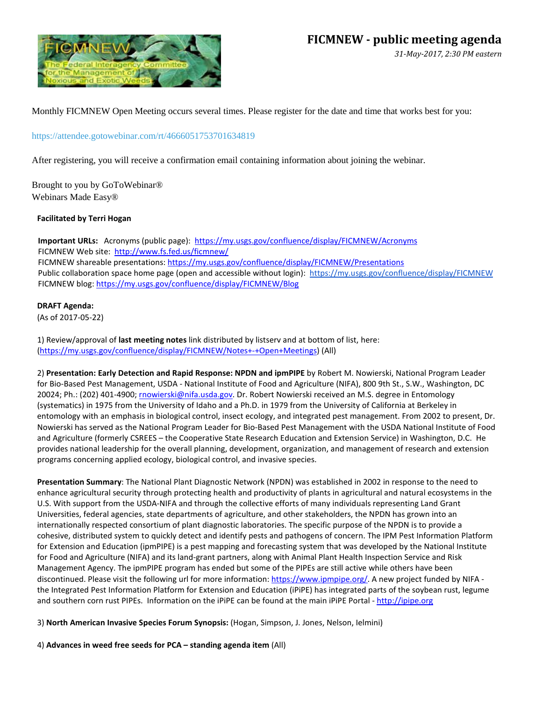

*31-May-2017, 2:30 PM eastern* 

Monthly FICMNEW Open Meeting occurs several times. Please register for the date and time that works best for you:

<https://attendee.gotowebinar.com/rt/4666051753701634819>

After registering, you will receive a confirmation email containing information about joining the webinar.

Brought to you by GoToWebinar® Webinars Made Easy®

## **Facilitated by Terri Hogan**

**Important URLs:** Acronyms (public page): <https://my.usgs.gov/confluence/display/FICMNEW/Acronyms> FICMNEW Web site:<http://www.fs.fed.us/ficmnew/> FICMNEW shareable presentations[: https://my.usgs.gov/confluence/display/FICMNEW/Presentations](https://my.usgs.gov/confluence/display/FICMNEW/Presentations) Public collaboration space home page (open and accessible without login): <https://my.usgs.gov/confluence/display/FICMNEW> FICMNEW blog: <https://my.usgs.gov/confluence/display/FICMNEW/Blog>

## **DRAFT Agenda:**

(As of 2017-05-22)

1) Review/approval of **last meeting notes** link distributed by listserv and at bottom of list, here: [\(https://my.usgs.gov/confluence/display/FICMNEW/Notes+-+Open+Meetings\)](https://my.usgs.gov/confluence/display/FICMNEW/Notes+-+Open+Meetings) (All)

2) **Presentation: Early Detection and Rapid Response: NPDN and ipmPIPE** by Robert M. Nowierski, National Program Leader for Bio-Based Pest Management, USDA - National Institute of Food and Agriculture (NIFA), 800 9th St., S.W., Washington, DC 20024; Ph.: (202) 401-4900; [rnowierski@nifa.usda.gov.](mailto:rnowierski@nifa.usda.gov) Dr. Robert Nowierski received an M.S. degree in Entomology (systematics) in 1975 from the University of Idaho and a Ph.D. in 1979 from the University of California at Berkeley in entomology with an emphasis in biological control, insect ecology, and integrated pest management. From 2002 to present, Dr. Nowierski has served as the National Program Leader for Bio-Based Pest Management with the USDA National Institute of Food and Agriculture (formerly CSREES – the Cooperative State Research Education and Extension Service) in Washington, D.C. He provides national leadership for the overall planning, development, organization, and management of research and extension programs concerning applied ecology, biological control, and invasive species.

**Presentation Summary**: The National Plant Diagnostic Network (NPDN) was established in 2002 in response to the need to enhance agricultural security through protecting health and productivity of plants in agricultural and natural ecosystems in the U.S. With support from the USDA-NIFA and through the collective efforts of many individuals representing Land Grant Universities, federal agencies, state departments of agriculture, and other stakeholders, the NPDN has grown into an internationally respected consortium of plant diagnostic laboratories. The specific purpose of the NPDN is to provide a cohesive, distributed system to quickly detect and identify pests and pathogens of concern. The IPM Pest Information Platform for Extension and Education (ipmPIPE) is a pest mapping and forecasting system that was developed by the National Institute for Food and Agriculture (NIFA) and its land-grant partners, along with Animal Plant Health Inspection Service and Risk Management Agency. The ipmPIPE program has ended but some of the PIPEs are still active while others have been discontinued. Please visit the following url for more information[: https://www.ipmpipe.org/.](https://www.ipmpipe.org/) A new project funded by NIFA the Integrated Pest Information Platform for Extension and Education (iPiPE) has integrated parts of the soybean rust, legume and southern corn rust PIPEs. Information on the iPiPE can be found at the main iPiPE Portal - [http://ipipe.org](http://ipipe.org/)

3) **North American Invasive Species Forum Synopsis:** (Hogan, Simpson, J. Jones, Nelson, Ielmini)

4) **Advances in weed free seeds for PCA – standing agenda item** (All)